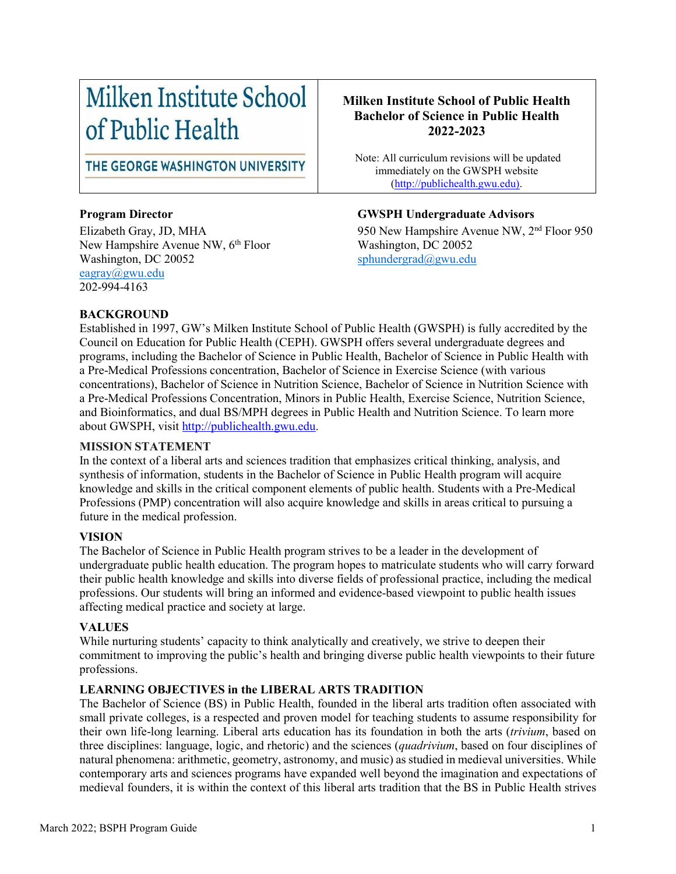# Milken Institute School of Public Health

THE GEORGE WASHINGTON UNIVERSITY

New Hampshire Avenue NW, 6<sup>th</sup> Floor Washington, DC 20052 sphundergrad $@g$ wu.edu [eagray@gwu.edu](mailto:eagray@gwu.edu)  202-994-4163

### **Milken Institute School of Public Health Bachelor of Science in Public Health 2022-2023**

Note: All curriculum revisions will be updated immediately on the GWSPH website [\(http://publichealth.gwu.edu\)](http://publichealth.gwu.edu/).

### **Program Director GWSPH Undergraduate Advisors**

Elizabeth Gray, JD, MHA<br>
New Hampshire Avenue NW, 6<sup>th</sup> Floor<br>
Washington, DC 20052

#### **BACKGROUND**

Established in 1997, GW's Milken Institute School of Public Health (GWSPH) is fully accredited by the Council on Education for Public Health (CEPH). GWSPH offers several undergraduate degrees and programs, including the Bachelor of Science in Public Health, Bachelor of Science in Public Health with a Pre-Medical Professions concentration, Bachelor of Science in Exercise Science (with various concentrations), Bachelor of Science in Nutrition Science, Bachelor of Science in Nutrition Science with a Pre-Medical Professions Concentration, Minors in Public Health, Exercise Science, Nutrition Science, and Bioinformatics, and dual BS/MPH degrees in Public Health and Nutrition Science. To learn more about GWSPH, visit [http://publichealth.gwu.edu.](http://publichealth.gwu.edu/)

#### **MISSION STATEMENT**

In the context of a liberal arts and sciences tradition that emphasizes critical thinking, analysis, and synthesis of information, students in the Bachelor of Science in Public Health program will acquire knowledge and skills in the critical component elements of public health. Students with a Pre-Medical Professions (PMP) concentration will also acquire knowledge and skills in areas critical to pursuing a future in the medical profession.

#### **VISION**

The Bachelor of Science in Public Health program strives to be a leader in the development of undergraduate public health education. The program hopes to matriculate students who will carry forward their public health knowledge and skills into diverse fields of professional practice, including the medical professions. Our students will bring an informed and evidence-based viewpoint to public health issues affecting medical practice and society at large.

#### **VALUES**

While nurturing students' capacity to think analytically and creatively, we strive to deepen their commitment to improving the public's health and bringing diverse public health viewpoints to their future professions.

### **LEARNING OBJECTIVES in the LIBERAL ARTS TRADITION**

The Bachelor of Science (BS) in Public Health, founded in the liberal arts tradition often associated with small private colleges, is a respected and proven model for teaching students to assume responsibility for their own life-long learning. Liberal arts education has its foundation in both the arts (*trivium*, based on three disciplines: language, logic, and rhetoric) and the sciences (*quadrivium*, based on four disciplines of natural phenomena: arithmetic, geometry, astronomy, and music) as studied in medieval universities. While contemporary arts and sciences programs have expanded well beyond the imagination and expectations of medieval founders, it is within the context of this liberal arts tradition that the BS in Public Health strives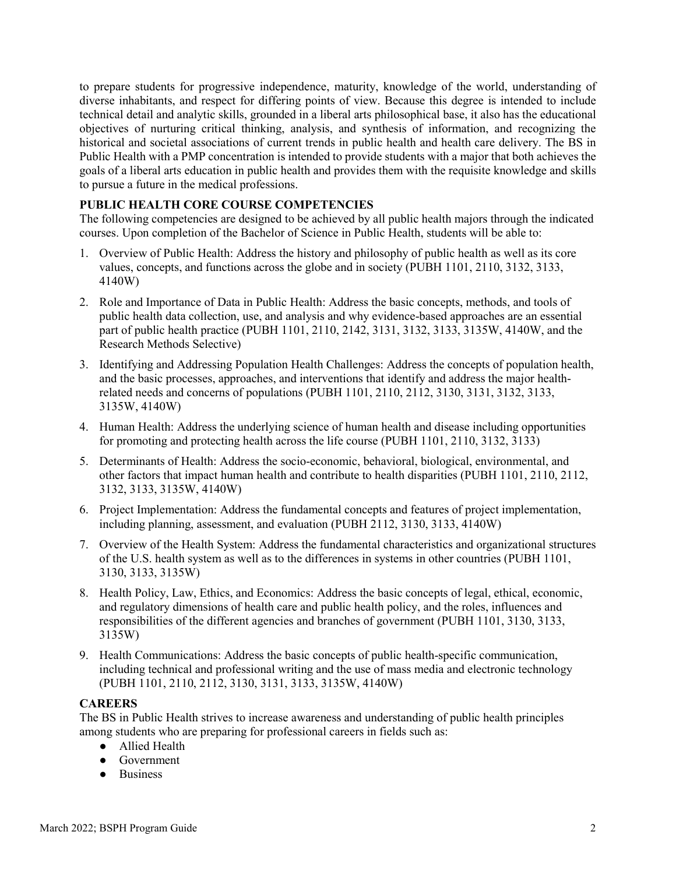to prepare students for progressive independence, maturity, knowledge of the world, understanding of diverse inhabitants, and respect for differing points of view. Because this degree is intended to include technical detail and analytic skills, grounded in a liberal arts philosophical base, it also has the educational objectives of nurturing critical thinking, analysis, and synthesis of information, and recognizing the historical and societal associations of current trends in public health and health care delivery. The BS in Public Health with a PMP concentration is intended to provide students with a major that both achieves the goals of a liberal arts education in public health and provides them with the requisite knowledge and skills to pursue a future in the medical professions.

#### **PUBLIC HEALTH CORE COURSE COMPETENCIES**

The following competencies are designed to be achieved by all public health majors through the indicated courses. Upon completion of the Bachelor of Science in Public Health, students will be able to:

- 1. Overview of Public Health: Address the history and philosophy of public health as well as its core values, concepts, and functions across the globe and in society (PUBH 1101, 2110, 3132, 3133, 4140W)
- 2. Role and Importance of Data in Public Health: Address the basic concepts, methods, and tools of public health data collection, use, and analysis and why evidence-based approaches are an essential part of public health practice (PUBH 1101, 2110, 2142, 3131, 3132, 3133, 3135W, 4140W, and the Research Methods Selective)
- 3. Identifying and Addressing Population Health Challenges: Address the concepts of population health, and the basic processes, approaches, and interventions that identify and address the major healthrelated needs and concerns of populations (PUBH 1101, 2110, 2112, 3130, 3131, 3132, 3133, 3135W, 4140W)
- 4. Human Health: Address the underlying science of human health and disease including opportunities for promoting and protecting health across the life course (PUBH 1101, 2110, 3132, 3133)
- 5. Determinants of Health: Address the socio-economic, behavioral, biological, environmental, and other factors that impact human health and contribute to health disparities (PUBH 1101, 2110, 2112, 3132, 3133, 3135W, 4140W)
- 6. Project Implementation: Address the fundamental concepts and features of project implementation, including planning, assessment, and evaluation (PUBH 2112, 3130, 3133, 4140W)
- 7. Overview of the Health System: Address the fundamental characteristics and organizational structures of the U.S. health system as well as to the differences in systems in other countries (PUBH 1101, 3130, 3133, 3135W)
- 8. Health Policy, Law, Ethics, and Economics: Address the basic concepts of legal, ethical, economic, and regulatory dimensions of health care and public health policy, and the roles, influences and responsibilities of the different agencies and branches of government (PUBH 1101, 3130, 3133, 3135W)
- 9. Health Communications: Address the basic concepts of public health-specific communication, including technical and professional writing and the use of mass media and electronic technology (PUBH 1101, 2110, 2112, 3130, 3131, 3133, 3135W, 4140W)

#### **CAREERS**

The BS in Public Health strives to increase awareness and understanding of public health principles among students who are preparing for professional careers in fields such as:

- Allied Health
- Government
- Business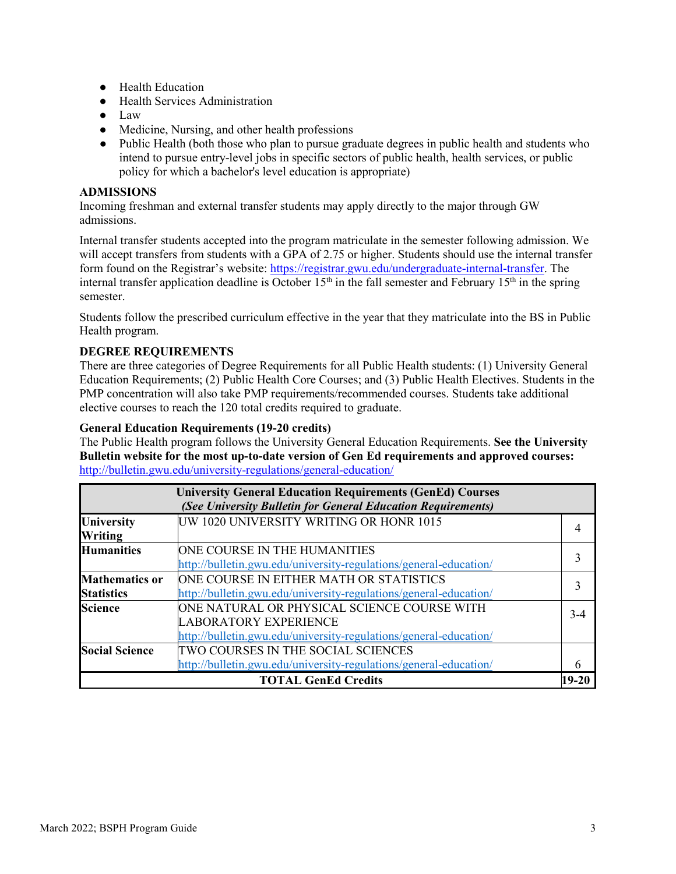- Health Education
- Health Services Administration
- Law
- Medicine, Nursing, and other health professions
- Public Health (both those who plan to pursue graduate degrees in public health and students who intend to pursue entry-level jobs in specific sectors of public health, health services, or public policy for which a bachelor's level education is appropriate)

#### **ADMISSIONS**

Incoming freshman and external transfer students may apply directly to the major through GW admissions.

Internal transfer students accepted into the program matriculate in the semester following admission. We will accept transfers from students with a GPA of 2.75 or higher. Students should use the internal transfer form found on the Registrar's website: [https://registrar.gwu.edu/undergraduate-internal-transfer.](https://registrar.gwu.edu/undergraduate-internal-transfer) The internal transfer application deadline is October  $15<sup>th</sup>$  in the fall semester and February  $15<sup>th</sup>$  in the spring semester.

Students follow the prescribed curriculum effective in the year that they matriculate into the BS in Public Health program.

#### **DEGREE REQUIREMENTS**

There are three categories of Degree Requirements for all Public Health students: (1) University General Education Requirements; (2) Public Health Core Courses; and (3) Public Health Electives. Students in the PMP concentration will also take PMP requirements/recommended courses. Students take additional elective courses to reach the 120 total credits required to graduate.

#### **General Education Requirements (19-20 credits)**

The Public Health program follows the University General Education Requirements. **See the University Bulletin website for the most up-to-date version of Gen Ed requirements and approved courses:**  <http://bulletin.gwu.edu/university-regulations/general-education/>

|                                            | <b>University General Education Requirements (GenEd) Courses</b><br>(See University Bulletin for General Education Requirements)                 |         |
|--------------------------------------------|--------------------------------------------------------------------------------------------------------------------------------------------------|---------|
| University<br>Writing                      | UW 1020 UNIVERSITY WRITING OR HONR 1015                                                                                                          |         |
| <b>Humanities</b>                          | ONE COURSE IN THE HUMANITIES<br>http://bulletin.gwu.edu/university-regulations/general-education/                                                |         |
| <b>Mathematics or</b><br><b>Statistics</b> | ONE COURSE IN EITHER MATH OR STATISTICS<br>http://bulletin.gwu.edu/university-regulations/general-education/                                     |         |
| <b>Science</b>                             | ONE NATURAL OR PHYSICAL SCIENCE COURSE WITH<br><b>LABORATORY EXPERIENCE</b><br>http://bulletin.gwu.edu/university-regulations/general-education/ | $3-4$   |
| <b>Social Science</b>                      | TWO COURSES IN THE SOCIAL SCIENCES<br>http://bulletin.gwu.edu/university-regulations/general-education/                                          | 6       |
|                                            | <b>TOTAL GenEd Credits</b>                                                                                                                       | $19-20$ |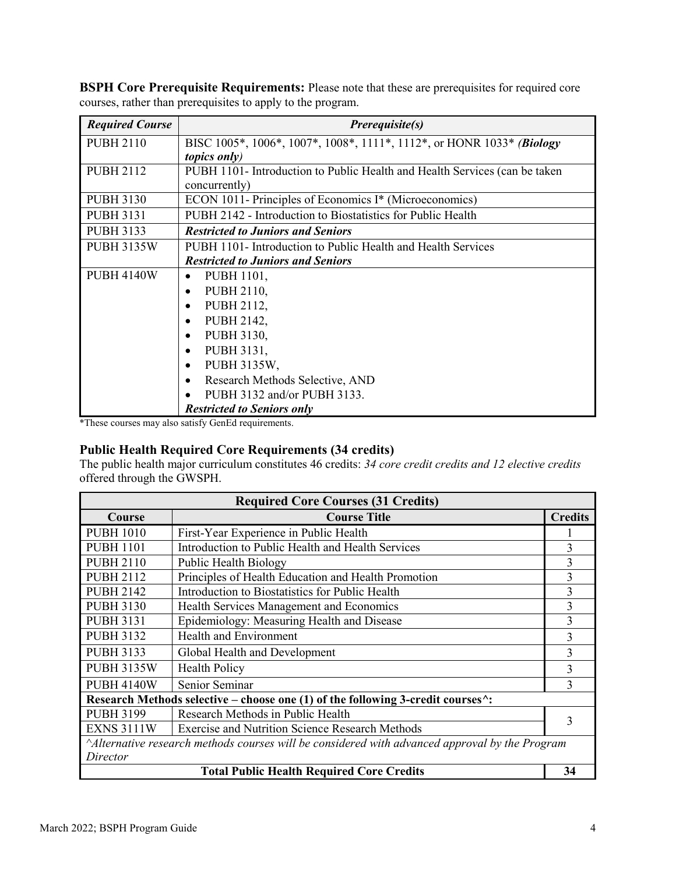| <b>Required Course</b> | <i>Prerequisite(s)</i>                                                         |  |  |  |  |  |
|------------------------|--------------------------------------------------------------------------------|--|--|--|--|--|
| <b>PUBH 2110</b>       | BISC 1005*, 1006*, 1007*, 1008*, 1111*, 1112*, or HONR 1033* <i>(Biology</i> ) |  |  |  |  |  |
|                        | <i>topics only</i> )                                                           |  |  |  |  |  |
| <b>PUBH 2112</b>       | PUBH 1101- Introduction to Public Health and Health Services (can be taken     |  |  |  |  |  |
|                        | concurrently)                                                                  |  |  |  |  |  |
| <b>PUBH 3130</b>       | ECON 1011- Principles of Economics I* (Microeconomics)                         |  |  |  |  |  |
| <b>PUBH 3131</b>       | PUBH 2142 - Introduction to Biostatistics for Public Health                    |  |  |  |  |  |
| <b>PUBH 3133</b>       | <b>Restricted to Juniors and Seniors</b>                                       |  |  |  |  |  |
| <b>PUBH 3135W</b>      | PUBH 1101- Introduction to Public Health and Health Services                   |  |  |  |  |  |
|                        | <b>Restricted to Juniors and Seniors</b>                                       |  |  |  |  |  |
| <b>PUBH 4140W</b>      | PUBH 1101,<br>$\bullet$                                                        |  |  |  |  |  |
|                        | PUBH 2110,                                                                     |  |  |  |  |  |
|                        | PUBH 2112,<br>$\bullet$                                                        |  |  |  |  |  |
|                        | PUBH 2142,                                                                     |  |  |  |  |  |
|                        | PUBH 3130,                                                                     |  |  |  |  |  |
|                        | PUBH 3131,<br>$\bullet$                                                        |  |  |  |  |  |
|                        | PUBH 3135W,                                                                    |  |  |  |  |  |
|                        | Research Methods Selective, AND<br>$\bullet$                                   |  |  |  |  |  |
|                        | PUBH 3132 and/or PUBH 3133.                                                    |  |  |  |  |  |
|                        | <b>Restricted to Seniors only</b>                                              |  |  |  |  |  |

**BSPH Core Prerequisite Requirements:** Please note that these are prerequisites for required core courses, rather than prerequisites to apply to the program.

\*These courses may also satisfy GenEd requirements.

### **Public Health Required Core Requirements (34 credits)**

The public health major curriculum constitutes 46 credits: *34 core credit credits and 12 elective credits* offered through the GWSPH.

| <b>Required Core Courses (31 Credits)</b>                                                     |                                                                                           |                |  |  |  |
|-----------------------------------------------------------------------------------------------|-------------------------------------------------------------------------------------------|----------------|--|--|--|
| Course                                                                                        | <b>Course Title</b>                                                                       | <b>Credits</b> |  |  |  |
| <b>PUBH 1010</b>                                                                              | First-Year Experience in Public Health                                                    |                |  |  |  |
| <b>PUBH 1101</b>                                                                              | Introduction to Public Health and Health Services                                         | 3              |  |  |  |
| <b>PUBH 2110</b>                                                                              | Public Health Biology                                                                     | 3              |  |  |  |
| <b>PUBH 2112</b>                                                                              | Principles of Health Education and Health Promotion                                       | 3              |  |  |  |
| <b>PUBH 2142</b>                                                                              | Introduction to Biostatistics for Public Health                                           | 3              |  |  |  |
| <b>PUBH 3130</b>                                                                              | Health Services Management and Economics                                                  | 3              |  |  |  |
| <b>PUBH 3131</b>                                                                              | Epidemiology: Measuring Health and Disease                                                | 3              |  |  |  |
| <b>PUBH 3132</b>                                                                              | Health and Environment                                                                    | 3              |  |  |  |
| <b>PUBH 3133</b>                                                                              | Global Health and Development                                                             | 3              |  |  |  |
| <b>PUBH 3135W</b>                                                                             | <b>Health Policy</b>                                                                      | 3              |  |  |  |
| <b>PUBH 4140W</b>                                                                             | Senior Seminar                                                                            | 3              |  |  |  |
|                                                                                               | Research Methods selective – choose one (1) of the following 3-credit courses $\hat{ }$ : |                |  |  |  |
| <b>PUBH 3199</b>                                                                              | Research Methods in Public Health                                                         | 3              |  |  |  |
| <b>EXNS 3111W</b>                                                                             | <b>Exercise and Nutrition Science Research Methods</b>                                    |                |  |  |  |
| Alternative research methods courses will be considered with advanced approval by the Program |                                                                                           |                |  |  |  |
| Director                                                                                      |                                                                                           |                |  |  |  |
| 34<br><b>Total Public Health Required Core Credits</b>                                        |                                                                                           |                |  |  |  |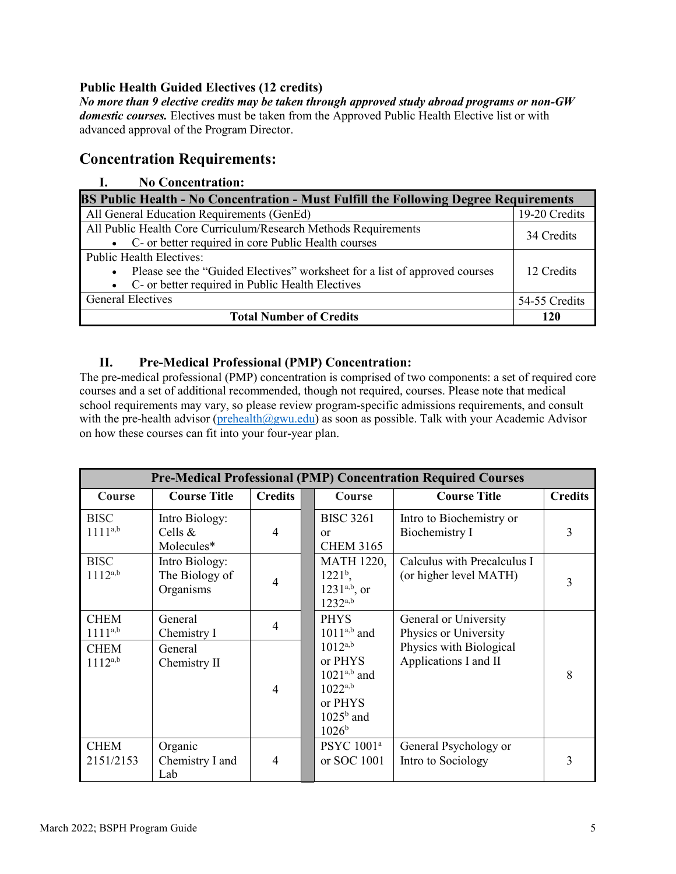### **Public Health Guided Electives (12 credits)**

*No more than 9 elective credits may be taken through approved study abroad programs or non-GW domestic courses.* Electives must be taken from the Approved Public Health Elective list or with advanced approval of the Program Director.

## **Concentration Requirements:**

### **I. No Concentration:**

| BS Public Health - No Concentration - Must Fulfill the Following Degree Requirements |               |  |  |  |  |
|--------------------------------------------------------------------------------------|---------------|--|--|--|--|
| All General Education Requirements (GenEd)                                           | 19-20 Credits |  |  |  |  |
| All Public Health Core Curriculum/Research Methods Requirements                      | 34 Credits    |  |  |  |  |
| • C- or better required in core Public Health courses                                |               |  |  |  |  |
| <b>Public Health Electives:</b>                                                      |               |  |  |  |  |
| • Please see the "Guided Electives" worksheet for a list of approved courses         | 12 Credits    |  |  |  |  |
| • C- or better required in Public Health Electives                                   |               |  |  |  |  |
| <b>General Electives</b>                                                             | 54-55 Credits |  |  |  |  |
| <b>Total Number of Credits</b>                                                       | 120           |  |  |  |  |

### **II. Pre-Medical Professional (PMP) Concentration:**

The pre-medical professional (PMP) concentration is comprised of two components: a set of required core courses and a set of additional recommended, though not required, courses. Please note that medical school requirements may vary, so please review program-specific admissions requirements, and consult with the pre-health advisor [\(prehealth@gwu.edu\)](mailto:prehealth@gwu.edu) as soon as possible. Talk with your Academic Advisor on how these courses can fit into your four-year plan.

| <b>Pre-Medical Professional (PMP) Concentration Required Courses</b> |                                               |                          |  |                                                                                                         |                                                       |                |  |
|----------------------------------------------------------------------|-----------------------------------------------|--------------------------|--|---------------------------------------------------------------------------------------------------------|-------------------------------------------------------|----------------|--|
| Course                                                               | <b>Course Title</b>                           | <b>Credits</b>           |  | Course                                                                                                  | <b>Course Title</b>                                   | <b>Credits</b> |  |
| <b>BISC</b><br>$1111^{a,b}$                                          | Intro Biology:<br>Cells $\&$<br>Molecules*    | $\overline{\mathcal{A}}$ |  | <b>BISC 3261</b><br><b>or</b><br><b>CHEM 3165</b>                                                       | Intro to Biochemistry or<br>Biochemistry I            | 3              |  |
| <b>BISC</b><br>$1112^{a,b}$                                          | Intro Biology:<br>The Biology of<br>Organisms | 4                        |  | <b>MATH 1220,</b><br>$1221^{\rm b}$ ,<br>$1231^{a,b}$ , or<br>$1232^{a,b}$                              | Calculus with Precalculus I<br>(or higher level MATH) | 3              |  |
| <b>CHEM</b><br>$1111^{a,b}$                                          | General<br>Chemistry I                        | 4                        |  | <b>PHYS</b><br>$1011^{a,b}$ and                                                                         | General or University<br>Physics or University        |                |  |
| <b>CHEM</b><br>$1112^{a,b}$                                          | General<br>Chemistry II                       | 4                        |  | $1012^{a,b}$<br>or PHYS<br>$1021^{a,b}$ and<br>$1022^{a,b}$<br>or PHYS<br>$1025b$ and<br>$1026^{\rm b}$ | Physics with Biological<br>Applications I and II      | 8              |  |
| <b>CHEM</b><br>2151/2153                                             | Organic<br>Chemistry I and<br>Lab             | 4                        |  | PSYC 1001 <sup>a</sup><br>or SOC 1001                                                                   | General Psychology or<br>Intro to Sociology           | 3              |  |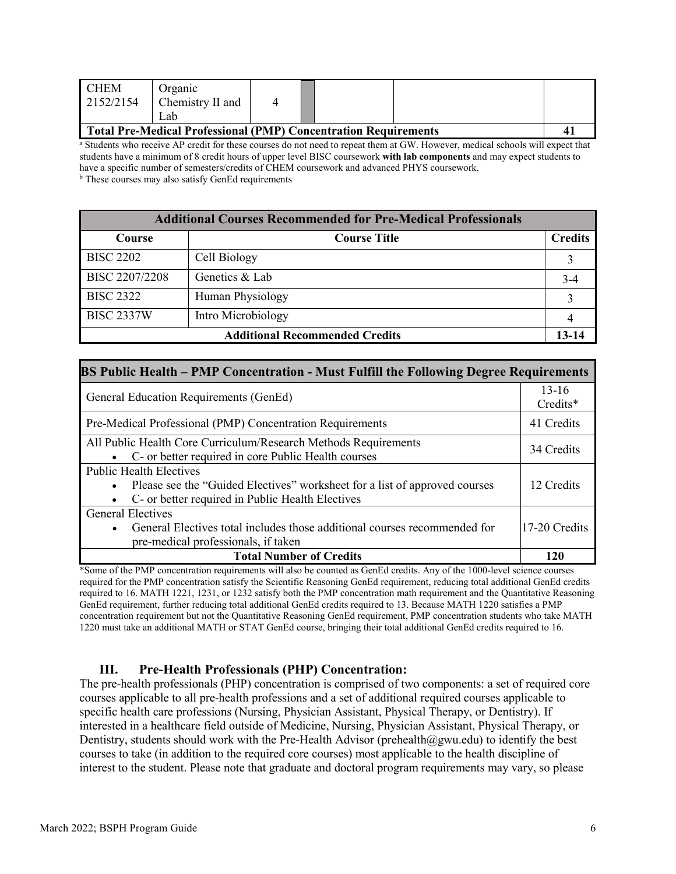| I CHEM<br>2152/2154                                             | Organic<br>Chemistry II and<br>Lab |  |  |  |   |
|-----------------------------------------------------------------|------------------------------------|--|--|--|---|
| Total Pre-Medical Professional (PMP) Concentration Requirements |                                    |  |  |  | 4 |

<sup>a</sup> Students who receive AP credit for these courses do not need to repeat them at GW. However, medical schools will expect that students have a minimum of 8 credit hours of upper level BISC coursework **with lab components** and may expect students to have a specific number of semesters/credits of CHEM coursework and advanced PHYS coursework. **b** These courses may also satisfy GenEd requirements

| <b>Additional Courses Recommended for Pre-Medical Professionals</b> |                     |                |  |  |  |
|---------------------------------------------------------------------|---------------------|----------------|--|--|--|
| Course                                                              | <b>Course Title</b> | <b>Credits</b> |  |  |  |
| <b>BISC 2202</b>                                                    | Cell Biology        |                |  |  |  |
| BISC 2207/2208                                                      | Genetics & Lab      | $3-4$          |  |  |  |
| <b>BISC 2322</b>                                                    | Human Physiology    |                |  |  |  |
| <b>BISC 2337W</b>                                                   | Intro Microbiology  |                |  |  |  |
| <b>Additional Recommended Credits</b>                               |                     |                |  |  |  |

| <b>BS Public Health – PMP Concentration - Must Fulfill the Following Degree Requirements</b>                                                                         |     |  |  |  |  |
|----------------------------------------------------------------------------------------------------------------------------------------------------------------------|-----|--|--|--|--|
| General Education Requirements (GenEd)                                                                                                                               |     |  |  |  |  |
| Pre-Medical Professional (PMP) Concentration Requirements                                                                                                            |     |  |  |  |  |
| All Public Health Core Curriculum/Research Methods Requirements<br>• C- or better required in core Public Health courses                                             |     |  |  |  |  |
| <b>Public Health Electives</b><br>• Please see the "Guided Electives" worksheet for a list of approved courses<br>• C- or better required in Public Health Electives |     |  |  |  |  |
| <b>General Electives</b><br>• General Electives total includes those additional courses recommended for<br>17-20 Credits<br>pre-medical professionals, if taken      |     |  |  |  |  |
| <b>Total Number of Credits</b>                                                                                                                                       | 120 |  |  |  |  |

\*Some of the PMP concentration requirements will also be counted as GenEd credits. Any of the 1000-level science courses required for the PMP concentration satisfy the Scientific Reasoning GenEd requirement, reducing total additional GenEd credits required to 16. MATH 1221, 1231, or 1232 satisfy both the PMP concentration math requirement and the Quantitative Reasoning GenEd requirement, further reducing total additional GenEd credits required to 13. Because MATH 1220 satisfies a PMP concentration requirement but not the Quantitative Reasoning GenEd requirement, PMP concentration students who take MATH 1220 must take an additional MATH or STAT GenEd course, bringing their total additional GenEd credits required to 16.

### **III. Pre-Health Professionals (PHP) Concentration:**

The pre-health professionals (PHP) concentration is comprised of two components: a set of required core courses applicable to all pre-health professions and a set of additional required courses applicable to specific health care professions (Nursing, Physician Assistant, Physical Therapy, or Dentistry). If interested in a healthcare field outside of Medicine, Nursing, Physician Assistant, Physical Therapy, or Dentistry, students should work with the Pre-Health Advisor (prehealth $(\partial gwu.edu)$  to identify the best courses to take (in addition to the required core courses) most applicable to the health discipline of interest to the student. Please note that graduate and doctoral program requirements may vary, so please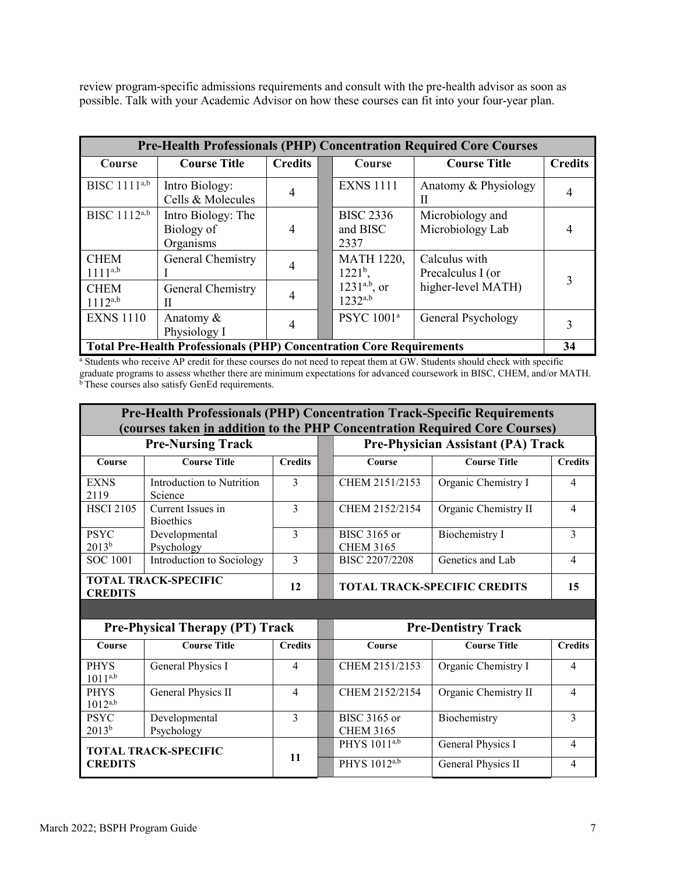review program-specific admissions requirements and consult with the pre-health advisor as soon as possible. Talk with your Academic Advisor on how these courses can fit into your four-year plan.

| <b>Pre-Health Professionals (PHP) Concentration Required Core Courses</b> |                                                                             |                |  |                                      |                                      |                |
|---------------------------------------------------------------------------|-----------------------------------------------------------------------------|----------------|--|--------------------------------------|--------------------------------------|----------------|
| <b>Course</b>                                                             | <b>Course Title</b>                                                         | <b>Credits</b> |  | Course                               | <b>Course Title</b>                  | <b>Credits</b> |
| BISC 1111 <sup>a,b</sup>                                                  | Intro Biology:<br>Cells & Molecules                                         | $\overline{4}$ |  | <b>EXNS 1111</b>                     | Anatomy & Physiology<br>Н            |                |
| BISC 1112a,b                                                              | Intro Biology: The<br>Biology of<br>Organisms                               | $\overline{4}$ |  | <b>BISC 2336</b><br>and BISC<br>2337 | Microbiology and<br>Microbiology Lab |                |
| <b>CHEM</b><br>$1111^{a,b}$                                               | General Chemistry                                                           |                |  | <b>MATH 1220,</b><br>$1221b$ ,       | Calculus with<br>Precalculus I (or   | 3              |
| <b>CHEM</b><br>$1112^{a,b}$                                               | General Chemistry<br>Н                                                      |                |  | $1231^{a,b}$ , or<br>$1232^{a,b}$    | higher-level MATH)                   |                |
| <b>EXNS 1110</b>                                                          | Anatomy &<br>Physiology I                                                   | $\overline{4}$ |  | PSYC 1001 <sup>a</sup>               | General Psychology                   |                |
|                                                                           | <b>Total Pre-Health Professionals (PHP) Concentration Core Requirements</b> |                |  |                                      |                                      | 34             |

<sup>a</sup> Students who receive AP credit for these courses do not need to repeat them at GW. Students should check with specific graduate programs to assess whether there are minimum expectations for advanced coursework in BISC, CHEM, and/or MATH. <sup>b</sup> These courses also satisfy GenEd requirements.

| <b>Pre-Health Professionals (PHP) Concentration Track-Specific Requirements</b><br>(courses taken in addition to the PHP Concentration Required Core Courses) |                                        |                |  |                                  |                                     |                |  |
|---------------------------------------------------------------------------------------------------------------------------------------------------------------|----------------------------------------|----------------|--|----------------------------------|-------------------------------------|----------------|--|
|                                                                                                                                                               | <b>Pre-Nursing Track</b>               |                |  |                                  | Pre-Physician Assistant (PA) Track  |                |  |
| Course                                                                                                                                                        | <b>Course Title</b>                    | <b>Credits</b> |  | Course                           | <b>Course Title</b>                 | <b>Credits</b> |  |
| <b>EXNS</b><br>2119                                                                                                                                           | Introduction to Nutrition<br>Science   | 3              |  | CHEM 2151/2153                   | Organic Chemistry I                 | $\overline{4}$ |  |
| <b>HSCI 2105</b>                                                                                                                                              | Current Issues in<br><b>Bioethics</b>  | 3              |  | CHEM 2152/2154                   | Organic Chemistry II                | $\overline{4}$ |  |
| <b>PSYC</b><br>$2013^{b}$                                                                                                                                     | Developmental<br>Psychology            | 3              |  | BISC 3165 or<br><b>CHEM 3165</b> | <b>Biochemistry I</b>               | 3              |  |
| <b>SOC 1001</b>                                                                                                                                               | Introduction to Sociology              | 3              |  | BISC 2207/2208                   | Genetics and Lab                    | $\overline{4}$ |  |
| <b>CREDITS</b>                                                                                                                                                | <b>TOTAL TRACK-SPECIFIC</b>            | 12             |  |                                  | <b>TOTAL TRACK-SPECIFIC CREDITS</b> |                |  |
|                                                                                                                                                               |                                        |                |  |                                  |                                     |                |  |
|                                                                                                                                                               | <b>Pre-Physical Therapy (PT) Track</b> |                |  |                                  | <b>Pre-Dentistry Track</b>          |                |  |
| Course                                                                                                                                                        | <b>Course Title</b>                    | <b>Credits</b> |  | Course                           | <b>Course Title</b>                 | <b>Credits</b> |  |
| <b>PHYS</b><br>$1011^{a,b}$                                                                                                                                   | General Physics I                      | $\overline{4}$ |  | CHEM 2151/2153                   | Organic Chemistry I                 | $\overline{4}$ |  |
|                                                                                                                                                               |                                        |                |  |                                  |                                     |                |  |
| <b>PHYS</b><br>$1012^{a,b}$                                                                                                                                   | General Physics II                     | $\overline{4}$ |  | CHEM 2152/2154                   | Organic Chemistry II                | $\overline{4}$ |  |
| <b>PSYC</b><br>$2013^{b}$                                                                                                                                     | Developmental<br>Psychology            | 3              |  | BISC 3165 or<br><b>CHEM 3165</b> | Biochemistry                        | 3              |  |
|                                                                                                                                                               | <b>TOTAL TRACK-SPECIFIC</b>            | 11             |  | PHYS $1011^{a,b}$                | General Physics I                   | $\overline{4}$ |  |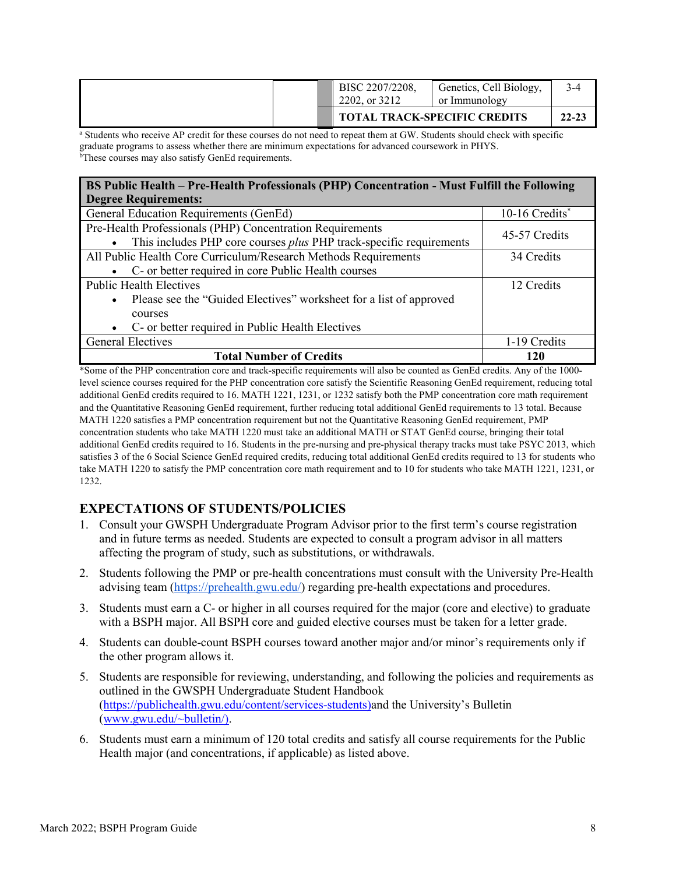|  | BISC 2207/2208,<br>2202, or 3212 | Genetics, Cell Biology,<br>or Immunology |           |
|--|----------------------------------|------------------------------------------|-----------|
|  |                                  | <b>TOTAL TRACK-SPECIFIC CREDITS</b>      | $22 - 23$ |

<sup>a</sup> Students who receive AP credit for these courses do not need to repeat them at GW. Students should check with specific graduate programs to assess whether there are minimum expectations for advanced coursework in PHYS. bThese courses may also satisfy GenEd requirements.

| BS Public Health - Pre-Health Professionals (PHP) Concentration - Must Fulfill the Following                                     |                |  |  |  |  |  |
|----------------------------------------------------------------------------------------------------------------------------------|----------------|--|--|--|--|--|
| <b>Degree Requirements:</b>                                                                                                      |                |  |  |  |  |  |
| General Education Requirements (GenEd)                                                                                           | 10-16 Credits* |  |  |  |  |  |
| Pre-Health Professionals (PHP) Concentration Requirements<br>This includes PHP core courses plus PHP track-specific requirements | 45-57 Credits  |  |  |  |  |  |
| All Public Health Core Curriculum/Research Methods Requirements                                                                  | 34 Credits     |  |  |  |  |  |
| • C- or better required in core Public Health courses                                                                            |                |  |  |  |  |  |
| <b>Public Health Electives</b>                                                                                                   | 12 Credits     |  |  |  |  |  |
| Please see the "Guided Electives" worksheet for a list of approved                                                               |                |  |  |  |  |  |
| courses                                                                                                                          |                |  |  |  |  |  |
| • C- or better required in Public Health Electives                                                                               |                |  |  |  |  |  |
| <b>General Electives</b>                                                                                                         | 1-19 Credits   |  |  |  |  |  |
| <b>Total Number of Credits</b>                                                                                                   | 120            |  |  |  |  |  |

\*Some of the PHP concentration core and track-specific requirements will also be counted as GenEd credits. Any of the 1000 level science courses required for the PHP concentration core satisfy the Scientific Reasoning GenEd requirement, reducing total additional GenEd credits required to 16. MATH 1221, 1231, or 1232 satisfy both the PMP concentration core math requirement and the Quantitative Reasoning GenEd requirement, further reducing total additional GenEd requirements to 13 total. Because MATH 1220 satisfies a PMP concentration requirement but not the Quantitative Reasoning GenEd requirement, PMP concentration students who take MATH 1220 must take an additional MATH or STAT GenEd course, bringing their total additional GenEd credits required to 16. Students in the pre-nursing and pre-physical therapy tracks must take PSYC 2013, which satisfies 3 of the 6 Social Science GenEd required credits, reducing total additional GenEd credits required to 13 for students who take MATH 1220 to satisfy the PMP concentration core math requirement and to 10 for students who take MATH 1221, 1231, or 1232.

### **EXPECTATIONS OF STUDENTS/POLICIES**

- 1. Consult your GWSPH Undergraduate Program Advisor prior to the first term's course registration and in future terms as needed. Students are expected to consult a program advisor in all matters affecting the program of study, such as substitutions, or withdrawals.
- 2. Students following the PMP or pre-health concentrations must consult with the University Pre-Health advising team [\(https://prehealth.gwu.edu/\)](https://prehealth.gwu.edu/) regarding pre-health expectations and procedures.
- 3. Students must earn a C- or higher in all courses required for the major (core and elective) to graduate with a BSPH major. All BSPH core and guided elective courses must be taken for a letter grade.
- 4. Students can double-count BSPH courses toward another major and/or minor's requirements only if the other program allows it.
- 5. Students are responsible for reviewing, understanding, and following the policies and requirements as outlined in the GWSPH Undergraduate Student Handbook [\(https://publichealth.gwu.edu/content/services-students\)](https://publichealth.gwu.edu/content/services-students)and the University's Bulletin [\(www.gwu.edu/~bulletin/\)](http://www.gwu.edu/%7Ebulletin/).
- 6. Students must earn a minimum of 120 total credits and satisfy all course requirements for the Public Health major (and concentrations, if applicable) as listed above.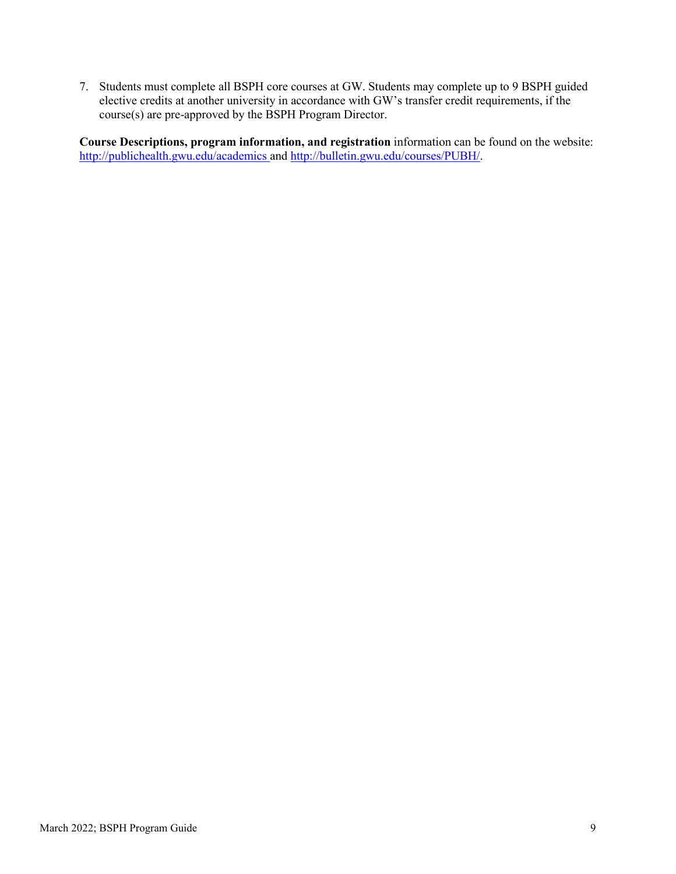7. Students must complete all BSPH core courses at GW. Students may complete up to 9 BSPH guided elective credits at another university in accordance with GW's transfer credit requirements, if the course(s) are pre-approved by the BSPH Program Director.

**Course Descriptions, program information, and registration** information can be found on the website: <http://publichealth.gwu.edu/academics> and [http://bulletin.gwu.edu/courses/PUBH/.](http://bulletin.gwu.edu/courses/pubh/)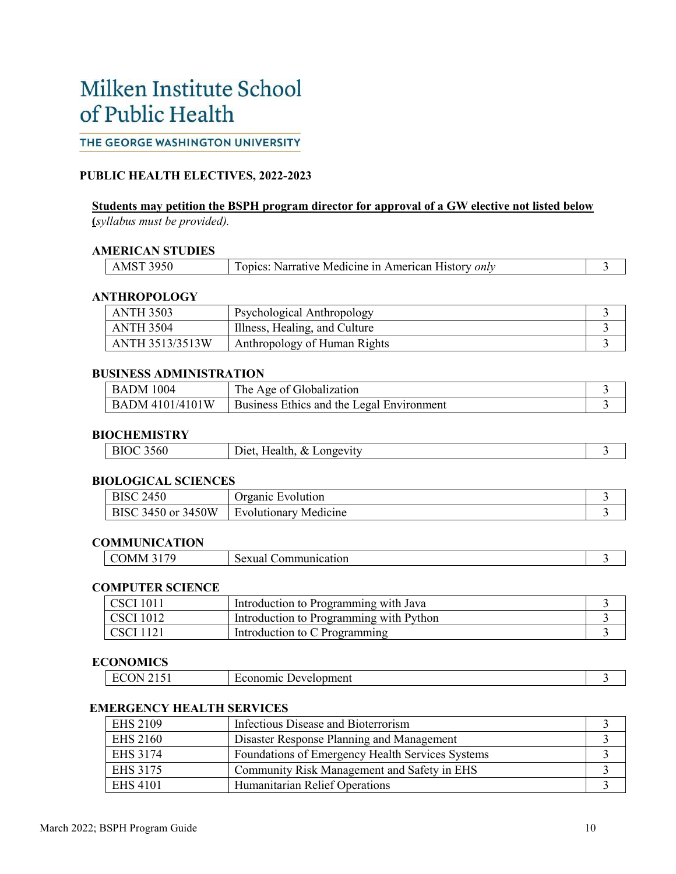## Milken Institute School of Public Health

### THE GEORGE WASHINGTON UNIVERSITY

#### **PUBLIC HEALTH ELECTIVES, 2022-2023**

#### **Students may petition the BSPH program director for approval of a GW elective not listed below (***syllabus must be provided).*

#### **AMERICAN STUDIES**

| 3950<br>M | : Medicine in American '<br>History <i>only</i><br>Narrative<br>. On 10 <sup>c</sup> |  |
|-----------|--------------------------------------------------------------------------------------|--|
|-----------|--------------------------------------------------------------------------------------|--|

#### **ANTHROPOLOGY**

| <b>ANTH 3503</b> | Psychological Anthropology    |  |
|------------------|-------------------------------|--|
| <b>ANTH 3504</b> | Illness, Healing, and Culture |  |
| ANTH 3513/3513W  | Anthropology of Human Rights  |  |

#### **BUSINESS ADMINISTRATION**

| <b>BADM 1004</b>       | The Age of Globalization                  |  |
|------------------------|-------------------------------------------|--|
| <b>BADM 4101/4101W</b> | Business Ethics and the Legal Environment |  |

#### **BIOCHEMISTRY**

| 3560<br>Health, $&$<br><b>BIOC</b><br>Longevity<br>$D$ et. $\vdash$ |
|---------------------------------------------------------------------|
|---------------------------------------------------------------------|

#### **BIOLOGICAL SCIENCES**

| 2450<br><b>BISC</b>   | Organic Evolution            |  |
|-----------------------|------------------------------|--|
| 3450 or 3450W<br>BISC | <b>Evolutionary Medicine</b> |  |

#### **COMMUNICATION**

| /I M<br>ົບ. | ------<br>.or<br>SЕ<br>∿au∪n |  |
|-------------|------------------------------|--|
|-------------|------------------------------|--|

#### **COMPUTER SCIENCE**

| <b>CSCI</b> 1011 | Introduction to Programming with Java   |  |
|------------------|-----------------------------------------|--|
| <b>CSCI</b> 1012 | Introduction to Programming with Python |  |
| CSCI 1121        | Introduction to C Programming           |  |

#### **ECONOMICS**

| Development<br>зоне<br>,,,,,, |  |  |
|-------------------------------|--|--|
|-------------------------------|--|--|

#### **EMERGENCY HEALTH SERVICES**

| <b>EHS 2109</b> | Infectious Disease and Bioterrorism              |  |
|-----------------|--------------------------------------------------|--|
| <b>EHS 2160</b> | Disaster Response Planning and Management        |  |
| EHS 3174        | Foundations of Emergency Health Services Systems |  |
| EHS 3175        | Community Risk Management and Safety in EHS      |  |
| <b>EHS 4101</b> | Humanitarian Relief Operations                   |  |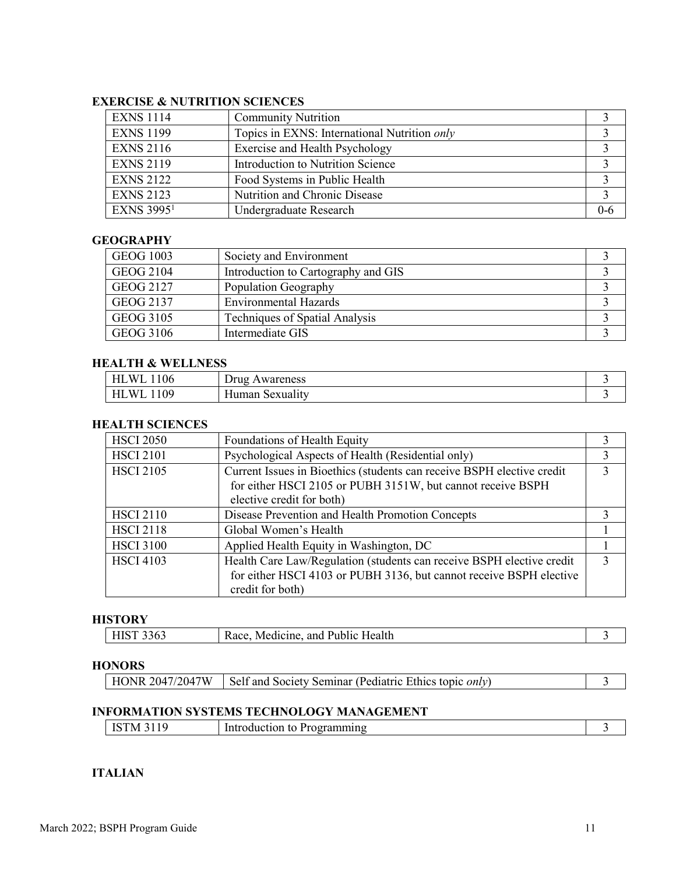#### **EXERCISE & NUTRITION SCIENCES**

| <b>EXNS 1114</b>  | <b>Community Nutrition</b>                   |       |
|-------------------|----------------------------------------------|-------|
| <b>EXNS 1199</b>  | Topics in EXNS: International Nutrition only |       |
| <b>EXNS 2116</b>  | Exercise and Health Psychology               |       |
| <b>EXNS 2119</b>  | Introduction to Nutrition Science            |       |
| <b>EXNS 2122</b>  | Food Systems in Public Health                |       |
| <b>EXNS 2123</b>  | Nutrition and Chronic Disease                |       |
| <b>EXNS 39951</b> | Undergraduate Research                       | $0-6$ |

#### **GEOGRAPHY**

| <b>GEOG 1003</b> | Society and Environment               |  |
|------------------|---------------------------------------|--|
| <b>GEOG 2104</b> | Introduction to Cartography and GIS   |  |
| GEOG 2127        | Population Geography                  |  |
| GEOG 2137        | <b>Environmental Hazards</b>          |  |
| <b>GEOG 3105</b> | <b>Techniques of Spatial Analysis</b> |  |
| <b>GEOG 3106</b> | Intermediate GIS                      |  |

#### **HEALTH & WELLNESS**

| $\sim$ $\sim$<br>M<br>V0 | wareness<br>Jrug    |  |
|--------------------------|---------------------|--|
| $\Omega$<br>M            | sexuality<br>rdumar |  |

#### **HEALTH SCIENCES**

| <b>HSCI 2050</b> | Foundations of Health Equity                                           |  |
|------------------|------------------------------------------------------------------------|--|
| <b>HSCI 2101</b> | Psychological Aspects of Health (Residential only)                     |  |
| <b>HSCI 2105</b> | Current Issues in Bioethics (students can receive BSPH elective credit |  |
|                  | for either HSCI 2105 or PUBH 3151W, but cannot receive BSPH            |  |
|                  | elective credit for both)                                              |  |
| <b>HSCI 2110</b> | Disease Prevention and Health Promotion Concepts                       |  |
| <b>HSCI 2118</b> | Global Women's Health                                                  |  |
| <b>HSCI 3100</b> | Applied Health Equity in Washington, DC                                |  |
| <b>HSCI 4103</b> | Health Care Law/Regulation (students can receive BSPH elective credit  |  |
|                  | for either HSCI 4103 or PUBH 3136, but cannot receive BSPH elective    |  |
|                  | credit for both)                                                       |  |

### **HISTORY**

| Race.<br><b>L</b><br><b>3303</b><br>1110 L | Iealth<br>"edicine"<br>and<br>. .<br>$M_f$ |  |
|--------------------------------------------|--------------------------------------------|--|
|--------------------------------------------|--------------------------------------------|--|

#### **HONORS**

| $\vert$ HONR 2047/2047W $\vert$ Self and Society Seminar (Pediatric Ethics topic <i>only</i> ) |  |
|------------------------------------------------------------------------------------------------|--|
|                                                                                                |  |

#### **INFORMATION SYSTEMS TECHNOLOGY MANAGEMENT**

| ……<br>. .<br>. | TМ | Introduction<br>- Programming<br>to |  |
|----------------|----|-------------------------------------|--|
|----------------|----|-------------------------------------|--|

#### **ITALIAN**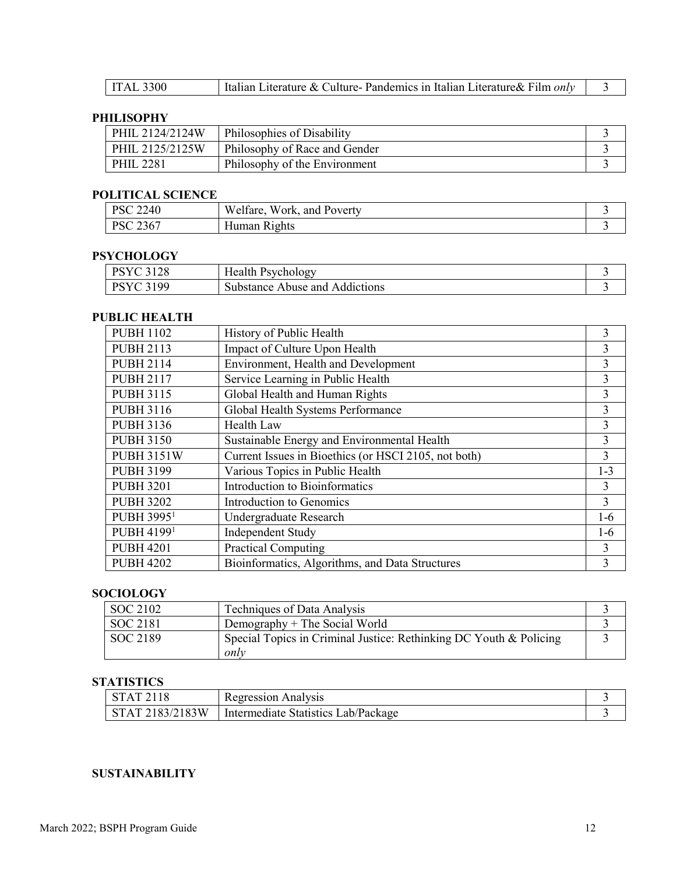| <b>ITAL 3300</b> | Italian Literature & Culture-Pandemics in Italian Literature & Film <i>only</i> |  |
|------------------|---------------------------------------------------------------------------------|--|
|------------------|---------------------------------------------------------------------------------|--|

### **PHILISOPHY**

| PHIL 2124/2124W | Philosophies of Disability    |  |
|-----------------|-------------------------------|--|
| PHIL 2125/2125W | Philosophy of Race and Gender |  |
| PHIL 2281       | Philosophy of the Environment |  |

#### **POLITICAL SCIENCE**

| 2240<br>DCC            | W<br><b>TTT</b><br>. Poverty<br>w ork<br>and<br>'elfare. |  |
|------------------------|----------------------------------------------------------|--|
| DCC<br>236<br>$\Delta$ | --<br>R1ghts<br>Human                                    |  |

### **PSYCHOLOGY**

| 2100<br>DCVC<br>140 | Health<br>Psychology                 |  |
|---------------------|--------------------------------------|--|
| 100<br>DC V         | Abuse and<br>Addictions<br>substance |  |

### **PUBLIC HEALTH**

| <b>PUBH 1102</b>       | History of Public Health                             | 3              |
|------------------------|------------------------------------------------------|----------------|
| <b>PUBH 2113</b>       | Impact of Culture Upon Health                        | 3              |
| <b>PUBH 2114</b>       | Environment, Health and Development                  | 3              |
| <b>PUBH 2117</b>       | Service Learning in Public Health                    | 3              |
| <b>PUBH 3115</b>       | Global Health and Human Rights                       | $\overline{3}$ |
| <b>PUBH 3116</b>       | Global Health Systems Performance                    | 3              |
| <b>PUBH 3136</b>       | Health Law                                           | 3              |
| <b>PUBH 3150</b>       | Sustainable Energy and Environmental Health          | $\overline{3}$ |
| <b>PUBH 3151W</b>      | Current Issues in Bioethics (or HSCI 2105, not both) | 3              |
| <b>PUBH 3199</b>       | Various Topics in Public Health                      | $1 - 3$        |
| <b>PUBH 3201</b>       | Introduction to Bioinformatics                       | $\overline{3}$ |
| <b>PUBH 3202</b>       | Introduction to Genomics                             | $\overline{3}$ |
| PUBH 3995 <sup>1</sup> | Undergraduate Research                               | 1-6            |
| <b>PUBH 41991</b>      | Independent Study                                    | $1-6$          |
| <b>PUBH 4201</b>       | <b>Practical Computing</b>                           | 3              |
| <b>PUBH 4202</b>       | Bioinformatics, Algorithms, and Data Structures      | 3              |

### **SOCIOLOGY**

| SOC 2102 | Techniques of Data Analysis                                                |  |
|----------|----------------------------------------------------------------------------|--|
| SOC 2181 | Demography $+$ The Social World                                            |  |
| SOC 2189 | Special Topics in Criminal Justice: Rethinking DC Youth & Policing<br>only |  |

### **STATISTICS**

|                    | Regression Analysis                    |  |
|--------------------|----------------------------------------|--|
| .83/2183W<br>2183/ | Intermediate Statistics<br>Lab/Package |  |

### **SUSTAINABILITY**